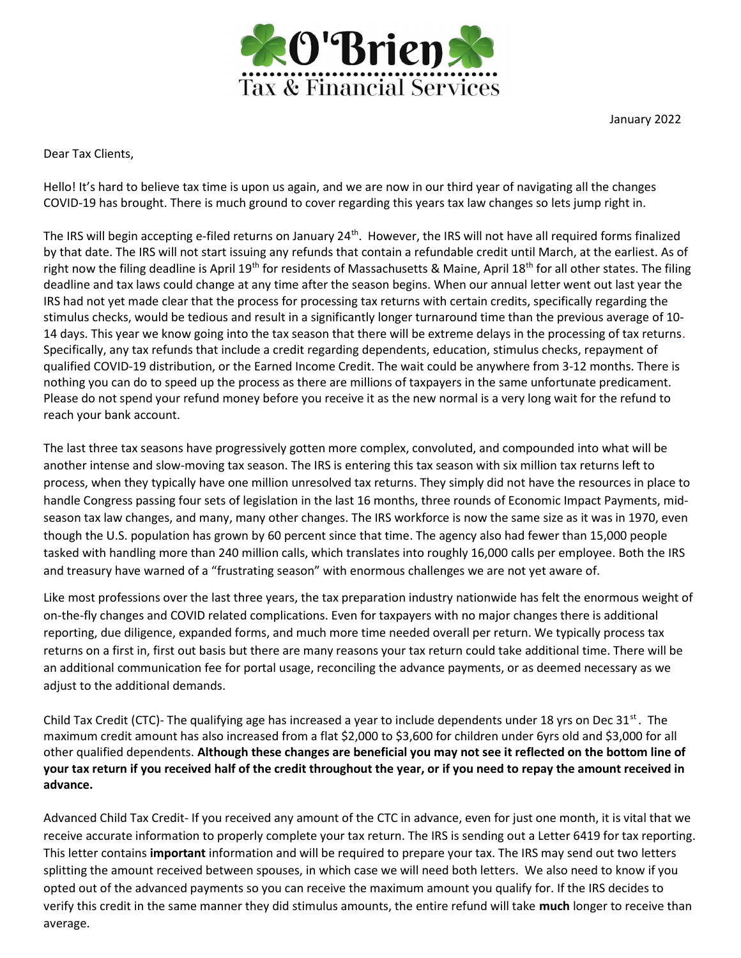

January 2022

Dear Tax Clients,

Hello! It's hard to believe tax time is upon us again, and we are now in our third year of navigating all the changes COVID-19 has brought. There is much ground to cover regarding this years tax law changes so lets jump right in.

The IRS will begin accepting e-filed returns on January  $24^{th}$ . However, the IRS will not have all required forms finalized by that date. The IRS will not start issuing any refunds that contain a refundable credit until March, at the earliest. As of right now the filing deadline is April 19<sup>th</sup> for residents of Massachusetts & Maine, April 18<sup>th</sup> for all other states. The filing deadline and tax laws could change at any time after the season begins. When our annual letter went out last year the IRS had not yet made clear that the process for processing tax returns with certain credits, specifically regarding the stimulus checks, would be tedious and result in a significantly longer turnaround time than the previous average of 10- 14 days. This year we know going into the tax season that there will be extreme delays in the processing of tax returns. Specifically, any tax refunds that include a credit regarding dependents, education, stimulus checks, repayment of qualified COVID-19 distribution, or the Earned Income Credit. The wait could be anywhere from 3-12 months. There is nothing you can do to speed up the process as there are millions of taxpayers in the same unfortunate predicament. Please do not spend your refund money before you receive it as the new normal is a very long wait for the refund to reach your bank account.

The last three tax seasons have progressively gotten more complex, convoluted, and compounded into what will be another intense and slow-moving tax season. The IRS is entering this tax season with six million tax returns left to process, when they typically have one million unresolved tax returns. They simply did not have the resources in place to handle Congress passing four sets of legislation in the last 16 months, three rounds of Economic Impact Payments, midseason tax law changes, and many, many other changes. The IRS workforce is now the same size as it was in 1970, even though the U.S. population has grown by 60 percent since that time. The agency also had fewer than 15,000 people tasked with handling more than 240 million calls, which translates into roughly 16,000 calls per employee. Both the IRS and treasury have warned of a "frustrating season" with enormous challenges we are not yet aware of.

Like most professions over the last three years, the tax preparation industry nationwide has felt the enormous weight of on-the-fly changes and COVID related complications. Even for taxpayers with no major changes there is additional reporting, due diligence, expanded forms, and much more time needed overall per return. We typically process tax returns on a first in, first out basis but there are many reasons your tax return could take additional time. There will be an additional communication fee for portal usage, reconciling the advance payments, or as deemed necessary as we adjust to the additional demands.

Child Tax Credit (CTC)- The qualifying age has increased a year to include dependents under 18 yrs on Dec  $31^{st}$ . The maximum credit amount has also increased from a flat \$2,000 to \$3,600 for children under 6yrs old and \$3,000 for all other qualified dependents. Although these changes are beneficial you may not see it reflected on the bottom line of your tax return if you received half of the credit throughout the year, or if you need to repay the amount received in advance.

Advanced Child Tax Credit- If you received any amount of the CTC in advance, even for just one month, it is vital that we receive accurate information to properly complete your tax return. The IRS is sending out a Letter 6419 for tax reporting. This letter contains important information and will be required to prepare your tax. The IRS may send out two letters splitting the amount received between spouses, in which case we will need both letters. We also need to know if you opted out of the advanced payments so you can receive the maximum amount you qualify for. If the IRS decides to verify this credit in the same manner they did stimulus amounts, the entire refund will take much longer to receive than average.